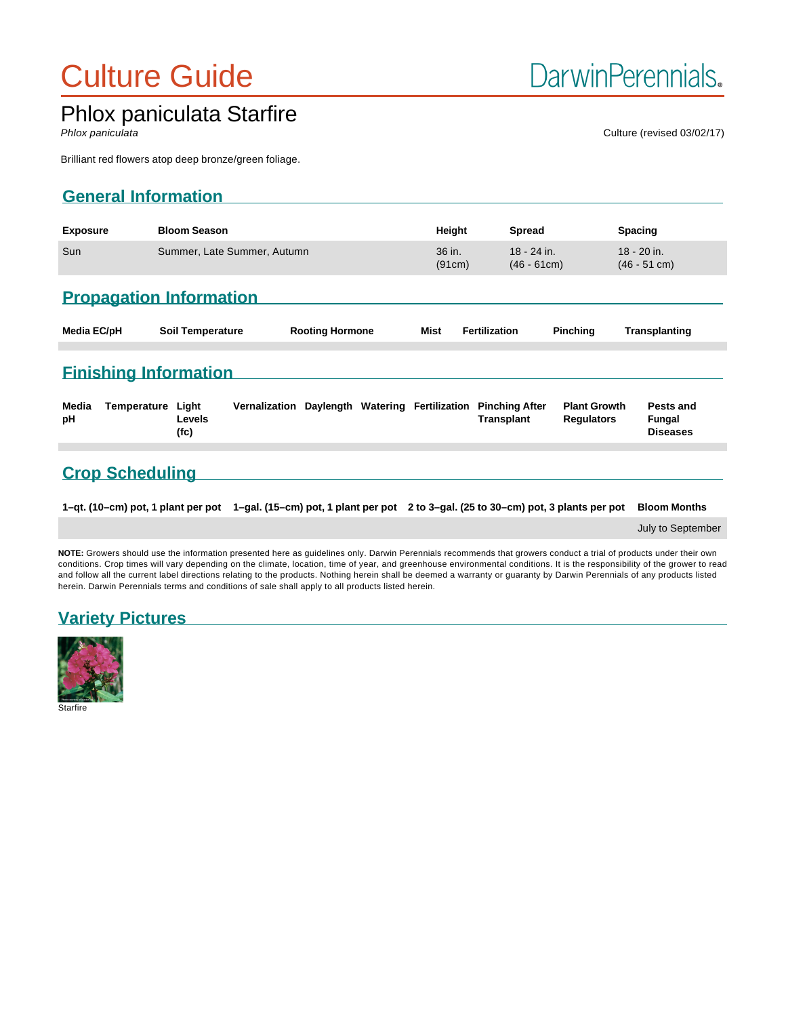# Culture Guide

# Phlox paniculata Starfire

Phlox paniculata Culture (revised 03/02/17)

Brilliant red flowers atop deep bronze/green foliage.

# **General Information**

| <b>Exposure</b> | <b>Bloom Season</b>         | Height           | <b>Spread</b>                      | <b>Spacing</b>                |
|-----------------|-----------------------------|------------------|------------------------------------|-------------------------------|
| Sun             | Summer, Late Summer, Autumn | 36 in.<br>(91cm) | $18 - 24$ in.<br>$(46 - 61$ cm $)$ | 18 - 20 in.<br>$(46 - 51$ cm) |
|                 |                             |                  |                                    |                               |

# **Propagation Information**

| Media EC/pH | Soil Temperature | <b>Rooting Hormone</b> | <b>Mist Fertilization</b> | <b>Pinching Transplanting</b> |
|-------------|------------------|------------------------|---------------------------|-------------------------------|
|             |                  |                        |                           |                               |

### **Finishing Information**

| Media<br>рH | Temperature Light | Levels<br>(fc) |  |  | Vernalization Daylength Watering Fertilization Pinching After<br>Transplant | <b>Plant Growth</b><br><b>Regulators</b> | Pests and<br>Fungal<br><b>Diseases</b> |
|-------------|-------------------|----------------|--|--|-----------------------------------------------------------------------------|------------------------------------------|----------------------------------------|
|             |                   |                |  |  |                                                                             |                                          |                                        |

## **Crop Scheduling**

**1–qt. (10–cm) pot, 1 plant per pot 1–gal. (15–cm) pot, 1 plant per pot 2 to 3–gal. (25 to 30–cm) pot, 3 plants per pot Bloom Months**

July to September

**NOTE:** Growers should use the information presented here as guidelines only. Darwin Perennials recommends that growers conduct a trial of products under their own conditions. Crop times will vary depending on the climate, location, time of year, and greenhouse environmental conditions. It is the responsibility of the grower to read and follow all the current label directions relating to the products. Nothing herein shall be deemed a warranty or guaranty by Darwin Perennials of any products listed herein. Darwin Perennials terms and conditions of sale shall apply to all products listed herein.

# **Variety Pictures**



Starfire